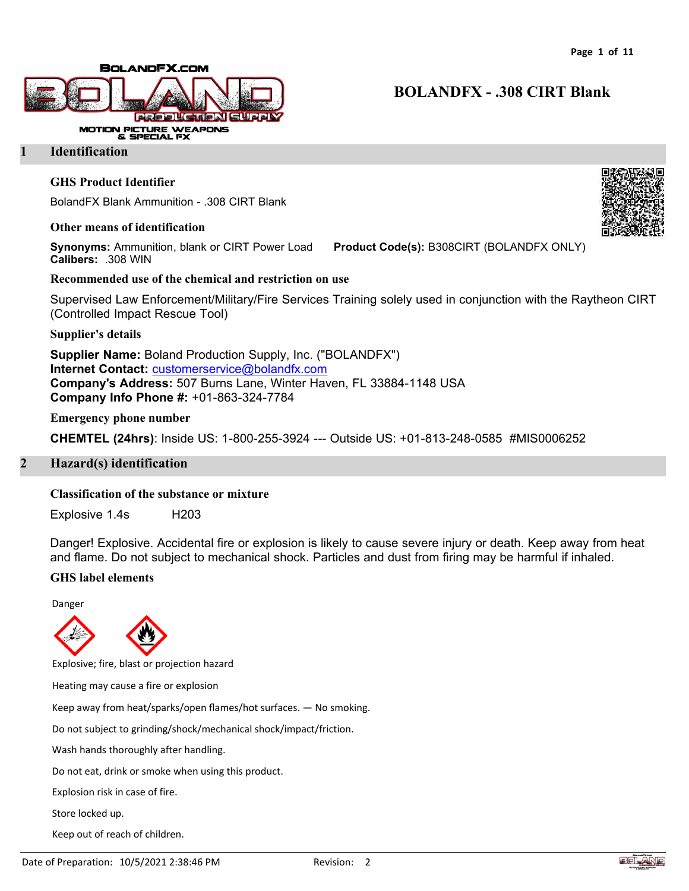

### **1 Identification**

### **GHS Product Identifier**

BolandFX Blank Ammunition - .308 CIRT Blank

#### **Other means of identification**

**Synonyms:** Ammunition, blank or CIRT Power Load **Product Code(s):** B308CIRT (BOLANDFX ONLY) **Calibers:** .308 WIN

### **Recommended use of the chemical and restriction on use**

Supervised Law Enforcement/Military/Fire Services Training solely used in conjunction with the Raytheon CIRT (Controlled Impact Rescue Tool)

**Supplier's details**

**Supplier Name:** Boland Production Supply, Inc. ("BOLANDFX") **Internet Contact:** [customerservice@bolandfx.com](mailto:customerservice@bolandfx.com) **Company's Address:** 507 Burns Lane, Winter Haven, FL 33884-1148 USA **Company Info Phone #:** +01-863-324-7784

### **Emergency phone number**

**CHEMTEL (24hrs)**: Inside US: 1-800-255-3924 --- Outside US: +01-813-248-0585 #MIS0006252

# **2 Hazard(s) identification**

### **Classification of the substance or mixture**

Explosive 1.4s H203

Danger! Explosive. Accidental fire or explosion is likely to cause severe injury or death. Keep away from heat and flame. Do not subject to mechanical shock. Particles and dust from firing may be harmful if inhaled.

### **GHS label elements**

Danger



Explosive; fire, blast or projection hazard

Heating may cause a fire or explosion

Keep away from heat/sparks/open flames/hot surfaces. — No smoking.

Do not subject to grinding/shock/mechanical shock/impact/friction.

Wash hands thoroughly after handling.

Do not eat, drink or smoke when using this product.

Explosion risk in case of fire.

Store locked up.

Keep out of reach of children.



# **BOLANDFX - .308 CIRT Blank**

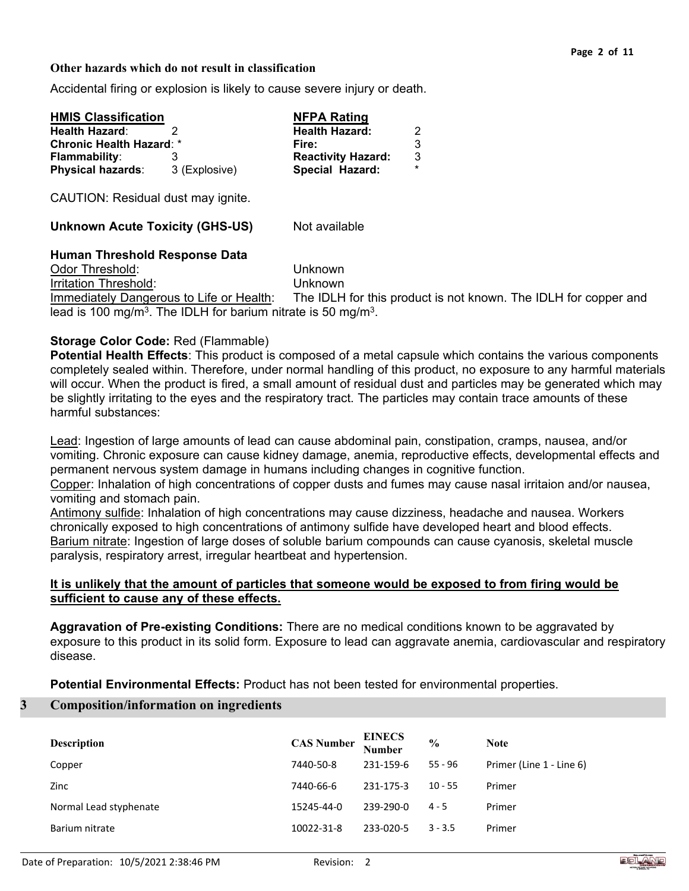### **Other hazards which do not result in classification**

Accidental firing or explosion is likely to cause severe injury or death.

| <b>HMIS Classification</b>      |               | <b>NFPA Rating</b>        |         |
|---------------------------------|---------------|---------------------------|---------|
| <b>Health Hazard:</b>           |               | <b>Health Hazard:</b>     | 2       |
| <b>Chronic Health Hazard: *</b> |               | Fire:                     | 3       |
| <b>Flammability:</b>            |               | <b>Reactivity Hazard:</b> | 3       |
| <b>Physical hazards:</b>        | 3 (Explosive) | Special Hazard:           | $\star$ |

CAUTION: Residual dust may ignite.

**Unknown Acute Toxicity (GHS-US)** Not available

# **Human Threshold Response Data**

Odor Threshold: Unknown Irritation Threshold: Unknown Immediately Dangerous to Life or Health: The IDLH for this product is not known. The IDLH for copper and lead is 100 mg/m<sup>3</sup>. The IDLH for barium nitrate is 50 mg/m<sup>3</sup>.

# **Storage Color Code:** Red (Flammable)

**Potential Health Effects**: This product is composed of a metal capsule which contains the various components completely sealed within. Therefore, under normal handling of this product, no exposure to any harmful materials will occur. When the product is fired, a small amount of residual dust and particles may be generated which may be slightly irritating to the eyes and the respiratory tract. The particles may contain trace amounts of these harmful substances:

Lead: Ingestion of large amounts of lead can cause abdominal pain, constipation, cramps, nausea, and/or vomiting. Chronic exposure can cause kidney damage, anemia, reproductive effects, developmental effects and permanent nervous system damage in humans including changes in cognitive function.

Copper: Inhalation of high concentrations of copper dusts and fumes may cause nasal irritaion and/or nausea, vomiting and stomach pain.

Antimony sulfide: Inhalation of high concentrations may cause dizziness, headache and nausea. Workers chronically exposed to high concentrations of antimony sulfide have developed heart and blood effects. Barium nitrate: Ingestion of large doses of soluble barium compounds can cause cyanosis, skeletal muscle paralysis, respiratory arrest, irregular heartbeat and hypertension.

# **It is unlikely that the amount of particles that someone would be exposed to from firing would be sufficient to cause any of these effects.**

**Aggravation of Pre-existing Conditions:** There are no medical conditions known to be aggravated by exposure to this product in its solid form. Exposure to lead can aggravate anemia, cardiovascular and respiratory disease.

**Potential Environmental Effects:** Product has not been tested for environmental properties.

# **3 Composition/information on ingredients**

| <b>Description</b>     | <b>CAS Number</b> | <b>EINECS</b><br>Number | $\frac{0}{0}$ | <b>Note</b>              |
|------------------------|-------------------|-------------------------|---------------|--------------------------|
| Copper                 | 7440-50-8         | 231-159-6               | $55 - 96$     | Primer (Line 1 - Line 6) |
| Zinc                   | 7440-66-6         | 231-175-3               | $10 - 55$     | Primer                   |
| Normal Lead styphenate | 15245-44-0        | 239-290-0               | $4 - 5$       | Primer                   |
| Barium nitrate         | 10022-31-8        | 233-020-5               | $3 - 3.5$     | Primer                   |

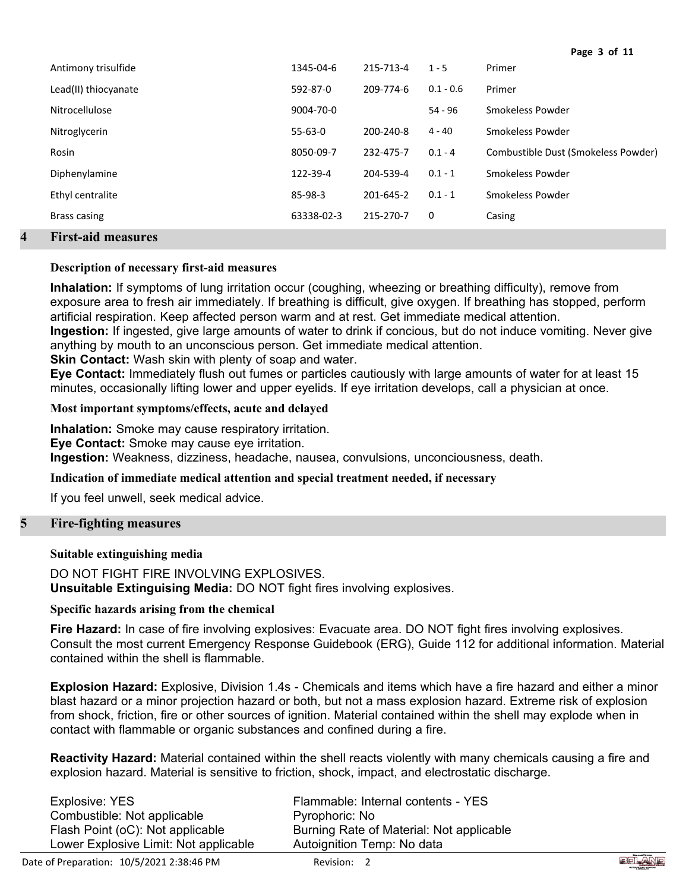| Antimony trisulfide                                                                               | 1345-04-6     | 215-713-4 | $1 - 5$     | Primer                              |
|---------------------------------------------------------------------------------------------------|---------------|-----------|-------------|-------------------------------------|
| Lead(II) thiocyanate                                                                              | 592-87-0      | 209-774-6 | $0.1 - 0.6$ | Primer                              |
| Nitrocellulose                                                                                    | 9004-70-0     |           | 54 - 96     | Smokeless Powder                    |
| Nitroglycerin                                                                                     | $55 - 63 - 0$ | 200-240-8 | $4 - 40$    | Smokeless Powder                    |
| Rosin                                                                                             | 8050-09-7     | 232-475-7 | $0.1 - 4$   | Combustible Dust (Smokeless Powder) |
| Diphenylamine                                                                                     | 122-39-4      | 204-539-4 | $0.1 - 1$   | Smokeless Powder                    |
| Ethyl centralite                                                                                  | 85-98-3       | 201-645-2 | $0.1 - 1$   | Smokeless Powder                    |
| Brass casing                                                                                      | 63338-02-3    | 215-270-7 | $\mathbf 0$ | Casing                              |
| $\mathbf{D}_{1}^{2}$ and $\mathbf{L}^{2}$ and $\mathbf{L}^{2}$ are associated as $\mathbf{L}^{2}$ |               |           |             |                                     |

# **4 First-aid measures**

# **Description of necessary first-aid measures**

**Inhalation:** If symptoms of lung irritation occur (coughing, wheezing or breathing difficulty), remove from exposure area to fresh air immediately. If breathing is difficult, give oxygen. If breathing has stopped, perform artificial respiration. Keep affected person warm and at rest. Get immediate medical attention. **Ingestion:** If ingested, give large amounts of water to drink if concious, but do not induce vomiting. Never give

anything by mouth to an unconscious person. Get immediate medical attention.

**Skin Contact:** Wash skin with plenty of soap and water.

**Eye Contact:** Immediately flush out fumes or particles cautiously with large amounts of water for at least 15 minutes, occasionally lifting lower and upper eyelids. If eye irritation develops, call a physician at once.

**Most important symptoms/effects, acute and delayed**

**Inhalation:** Smoke may cause respiratory irritation. **Eye Contact:** Smoke may cause eye irritation. **Ingestion:** Weakness, dizziness, headache, nausea, convulsions, unconciousness, death.

# **Indication of immediate medical attention and special treatment needed, if necessary**

If you feel unwell, seek medical advice.

# **5 Fire-fighting measures**

# **Suitable extinguishing media**

DO NOT FIGHT FIRE INVOLVING EXPLOSIVES. **Unsuitable Extinguising Media:** DO NOT fight fires involving explosives.

# **Specific hazards arising from the chemical**

**Fire Hazard:** In case of fire involving explosives: Evacuate area. DO NOT fight fires involving explosives. Consult the most current Emergency Response Guidebook (ERG), Guide 112 for additional information. Material contained within the shell is flammable.

**Explosion Hazard:** Explosive, Division 1.4s - Chemicals and items which have a fire hazard and either a minor blast hazard or a minor projection hazard or both, but not a mass explosion hazard. Extreme risk of explosion from shock, friction, fire or other sources of ignition. Material contained within the shell may explode when in contact with flammable or organic substances and confined during a fire.

**Reactivity Hazard:** Material contained within the shell reacts violently with many chemicals causing a fire and explosion hazard. Material is sensitive to friction, shock, impact, and electrostatic discharge.

| Explosive: YES                        | Flammable: Internal contents - YES       |
|---------------------------------------|------------------------------------------|
| Combustible: Not applicable           | Pyrophoric: No                           |
| Flash Point (oC): Not applicable      | Burning Rate of Material: Not applicable |
| Lower Explosive Limit: Not applicable | Autoignition Temp: No data               |



**Page 3 of 11**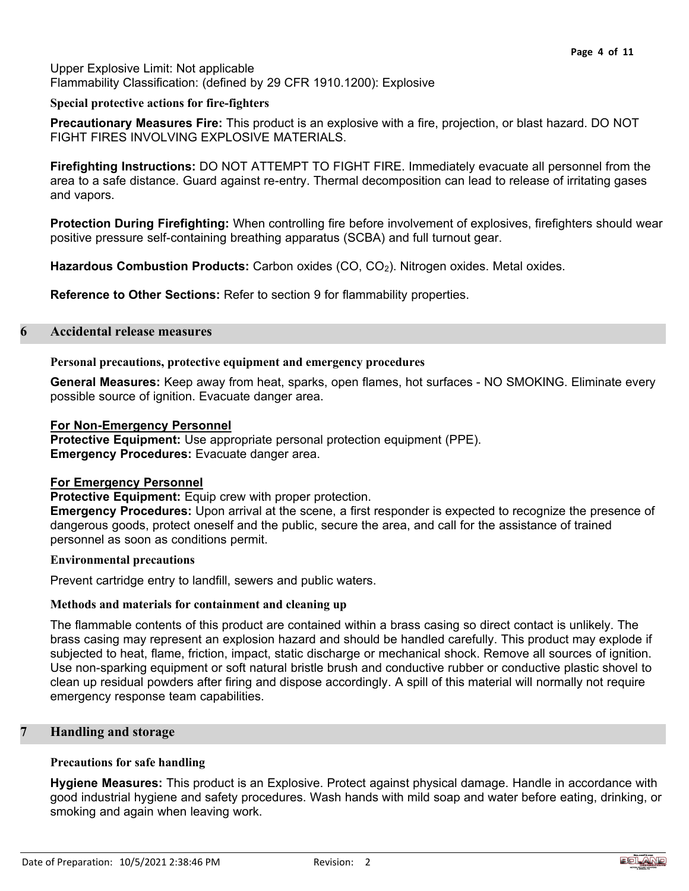# Upper Explosive Limit: Not applicable Flammability Classification: (defined by 29 CFR 1910.1200): Explosive

### **Special protective actions for fire-fighters**

**Precautionary Measures Fire:** This product is an explosive with a fire, projection, or blast hazard. DO NOT FIGHT FIRES INVOLVING EXPLOSIVE MATERIALS.

**Firefighting Instructions:** DO NOT ATTEMPT TO FIGHT FIRE. Immediately evacuate all personnel from the area to a safe distance. Guard against re-entry. Thermal decomposition can lead to release of irritating gases and vapors.

**Protection During Firefighting:** When controlling fire before involvement of explosives, firefighters should wear positive pressure self-containing breathing apparatus (SCBA) and full turnout gear.

**Hazardous Combustion Products:** Carbon oxides (CO, CO2). Nitrogen oxides. Metal oxides.

**Reference to Other Sections:** Refer to section 9 for flammability properties.

### **6 Accidental release measures**

### **Personal precautions, protective equipment and emergency procedures**

**General Measures:** Keep away from heat, sparks, open flames, hot surfaces - NO SMOKING. Eliminate every possible source of ignition. Evacuate danger area.

### **For Non-Emergency Personnel**

**Protective Equipment:** Use appropriate personal protection equipment (PPE). **Emergency Procedures:** Evacuate danger area.

# **For Emergency Personnel**

**Protective Equipment:** Equip crew with proper protection.

**Emergency Procedures:** Upon arrival at the scene, a first responder is expected to recognize the presence of dangerous goods, protect oneself and the public, secure the area, and call for the assistance of trained personnel as soon as conditions permit.

### **Environmental precautions**

Prevent cartridge entry to landfill, sewers and public waters.

### **Methods and materials for containment and cleaning up**

The flammable contents of this product are contained within a brass casing so direct contact is unlikely. The brass casing may represent an explosion hazard and should be handled carefully. This product may explode if subjected to heat, flame, friction, impact, static discharge or mechanical shock. Remove all sources of ignition. Use non-sparking equipment or soft natural bristle brush and conductive rubber or conductive plastic shovel to clean up residual powders after firing and dispose accordingly. A spill of this material will normally not require emergency response team capabilities.

### **7 Handling and storage**

### **Precautions for safe handling**

**Hygiene Measures:** This product is an Explosive. Protect against physical damage. Handle in accordance with good industrial hygiene and safety procedures. Wash hands with mild soap and water before eating, drinking, or smoking and again when leaving work.

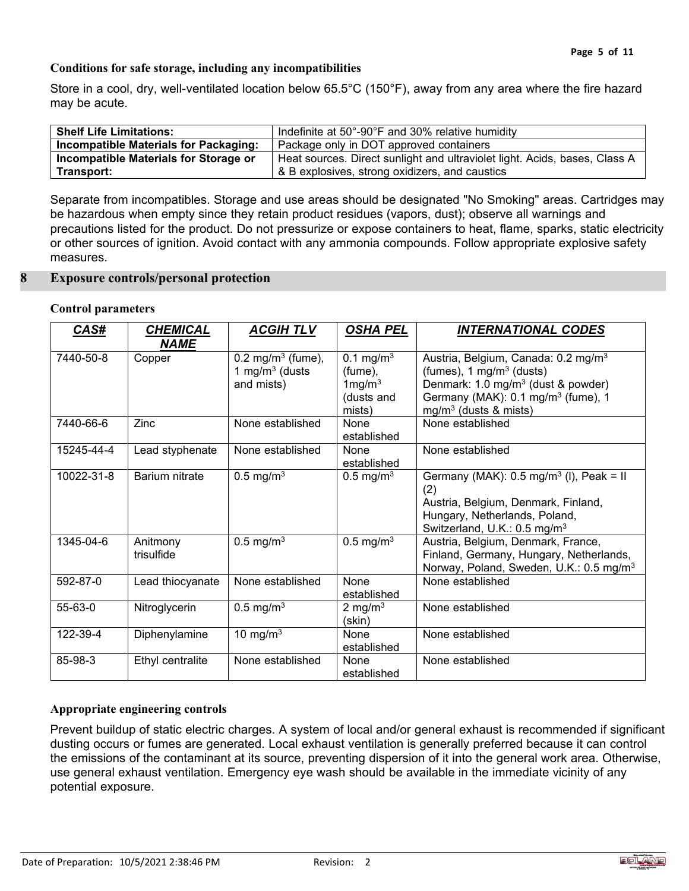# **Conditions for safe storage, including any incompatibilities**

Store in a cool, dry, well-ventilated location below 65.5°C (150°F), away from any area where the fire hazard may be acute.

| <b>Shelf Life Limitations:</b>        | Indefinite at 50°-90°F and 30% relative humidity                           |
|---------------------------------------|----------------------------------------------------------------------------|
| Incompatible Materials for Packaging: | Package only in DOT approved containers                                    |
| Incompatible Materials for Storage or | Heat sources. Direct sunlight and ultraviolet light. Acids, bases, Class A |
| Transport:                            | & B explosives, strong oxidizers, and caustics                             |

Separate from incompatibles. Storage and use areas should be designated "No Smoking" areas. Cartridges may be hazardous when empty since they retain product residues (vapors, dust); observe all warnings and precautions listed for the product. Do not pressurize or expose containers to heat, flame, sparks, static electricity or other sources of ignition. Avoid contact with any ammonia compounds. Follow appropriate explosive safety measures.

### **8 Exposure controls/personal protection**

### **Control parameters**

| CAS#          | <b>CHEMICAL</b>        | <b>ACGIH TLV</b>                                                 | <b>OSHA PEL</b>                                                                   | <b>INTERNATIONAL CODES</b>                                                                                                                                                                                    |
|---------------|------------------------|------------------------------------------------------------------|-----------------------------------------------------------------------------------|---------------------------------------------------------------------------------------------------------------------------------------------------------------------------------------------------------------|
| 7440-50-8     | <b>NAME</b><br>Copper  | 0.2 mg/m <sup>3</sup> (fume),<br>1 mg/m $3$ (dusts<br>and mists) | 0.1 mg/m <sup>3</sup><br>$(fume)$ ,<br>1mg/m <sup>3</sup><br>(dusts and<br>mists) | Austria, Belgium, Canada: 0.2 mg/m <sup>3</sup><br>(fumes), 1 mg/m $3$ (dusts)<br>Denmark: 1.0 mg/m <sup>3</sup> (dust & powder)<br>Germany (MAK): 0.1 mg/m <sup>3</sup> (fume), 1<br>$mg/m3$ (dusts & mists) |
| 7440-66-6     | Zinc                   | None established                                                 | None<br>established                                                               | None established                                                                                                                                                                                              |
| 15245-44-4    | Lead styphenate        | None established                                                 | None<br>established                                                               | None established                                                                                                                                                                                              |
| 10022-31-8    | Barium nitrate         | $0.5 \text{ mg/m}^3$                                             | $0.5 \text{ mg/m}^3$                                                              | Germany (MAK): $0.5 \text{ mg/m}^3$ (I), Peak = II<br>(2)<br>Austria, Belgium, Denmark, Finland,<br>Hungary, Netherlands, Poland,<br>Switzerland, U.K.: 0.5 mg/m <sup>3</sup>                                 |
| 1345-04-6     | Anitmony<br>trisulfide | $\overline{0.5}$ mg/m <sup>3</sup>                               | $0.5 \text{ mg/m}^3$                                                              | Austria, Belgium, Denmark, France,<br>Finland, Germany, Hungary, Netherlands,<br>Norway, Poland, Sweden, U.K.: 0.5 mg/m <sup>3</sup>                                                                          |
| 592-87-0      | Lead thiocyanate       | None established                                                 | None<br>established                                                               | None established                                                                                                                                                                                              |
| $55 - 63 - 0$ | Nitroglycerin          | $0.5 \text{ mg/m}^3$                                             | 2 mg/m $3$<br>(skin)                                                              | None established                                                                                                                                                                                              |
| 122-39-4      | Diphenylamine          | 10 mg/m $3$                                                      | None<br>established                                                               | None established                                                                                                                                                                                              |
| 85-98-3       | Ethyl centralite       | None established                                                 | None<br>established                                                               | None established                                                                                                                                                                                              |

# **Appropriate engineering controls**

Prevent buildup of static electric charges. A system of local and/or general exhaust is recommended if significant dusting occurs or fumes are generated. Local exhaust ventilation is generally preferred because it can control the emissions of the contaminant at its source, preventing dispersion of it into the general work area. Otherwise, use general exhaust ventilation. Emergency eye wash should be available in the immediate vicinity of any potential exposure.

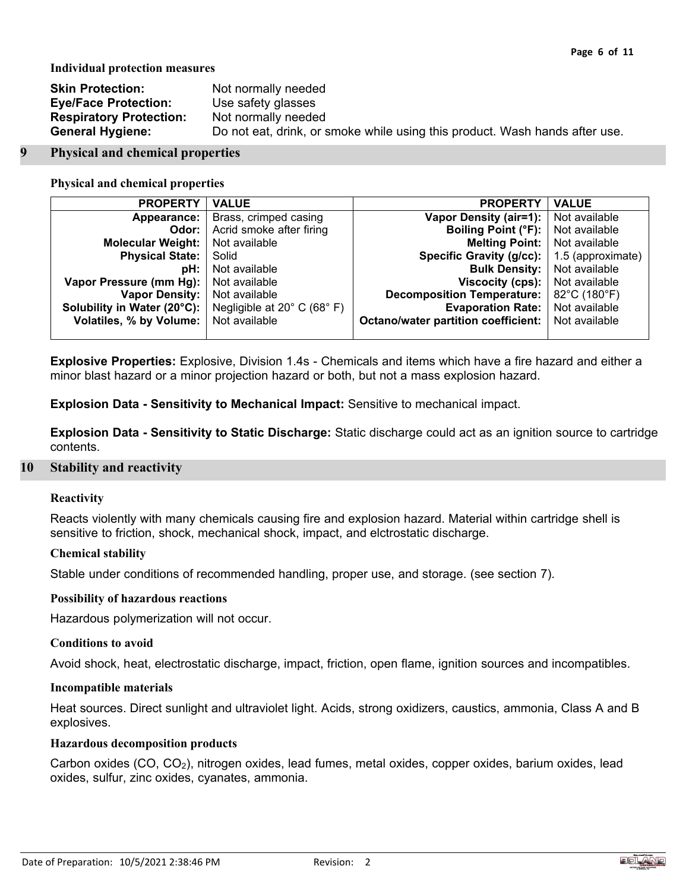**Individual protection measures**

| <b>Skin Protection:</b>        | Not normally needed                                                         |
|--------------------------------|-----------------------------------------------------------------------------|
| <b>Eye/Face Protection:</b>    | Use safety glasses                                                          |
| <b>Respiratory Protection:</b> | Not normally needed                                                         |
| <b>General Hygiene:</b>        | Do not eat, drink, or smoke while using this product. Wash hands after use. |

### **9 Physical and chemical properties**

### **Physical and chemical properties**

| <b>PROPERTY</b>             | <b>VALUE</b>                | <b>PROPERTY</b>                            | <b>VALUE</b>      |
|-----------------------------|-----------------------------|--------------------------------------------|-------------------|
| Appearance:                 | Brass, crimped casing       | <b>Vapor Density (air=1):</b>              | Not available     |
| Odor:                       | Acrid smoke after firing    | <b>Boiling Point (°F):</b>                 | Not available     |
| <b>Molecular Weight:</b>    | Not available               | <b>Melting Point:</b>                      | Not available     |
| <b>Physical State:</b>      | Solid                       | Specific Gravity (g/cc):                   | 1.5 (approximate) |
| pH:                         | Not available               | <b>Bulk Density:</b>                       | Not available     |
| Vapor Pressure (mm Hg):     | Not available               | Viscocity (cps):                           | Not available     |
| <b>Vapor Density:</b>       | Not available               | <b>Decomposition Temperature:</b>          | 82°C (180°F)      |
| Solubility in Water (20°C): | Negligible at 20° C (68° F) | <b>Evaporation Rate:</b>                   | Not available     |
| Volatiles, % by Volume:     | Not available               | <b>Octano/water partition coefficient:</b> | Not available     |
|                             |                             |                                            |                   |

**Explosive Properties:** Explosive, Division 1.4s - Chemicals and items which have a fire hazard and either a minor blast hazard or a minor projection hazard or both, but not a mass explosion hazard.

**Explosion Data - Sensitivity to Mechanical Impact:** Sensitive to mechanical impact.

**Explosion Data - Sensitivity to Static Discharge:** Static discharge could act as an ignition source to cartridge contents.

# **10 Stability and reactivity**

# **Reactivity**

Reacts violently with many chemicals causing fire and explosion hazard. Material within cartridge shell is sensitive to friction, shock, mechanical shock, impact, and elctrostatic discharge.

### **Chemical stability**

Stable under conditions of recommended handling, proper use, and storage. (see section 7).

### **Possibility of hazardous reactions**

Hazardous polymerization will not occur.

### **Conditions to avoid**

Avoid shock, heat, electrostatic discharge, impact, friction, open flame, ignition sources and incompatibles.

### **Incompatible materials**

Heat sources. Direct sunlight and ultraviolet light. Acids, strong oxidizers, caustics, ammonia, Class A and B explosives.

# **Hazardous decomposition products**

Carbon oxides (CO, CO2), nitrogen oxides, lead fumes, metal oxides, copper oxides, barium oxides, lead oxides, sulfur, zinc oxides, cyanates, ammonia.

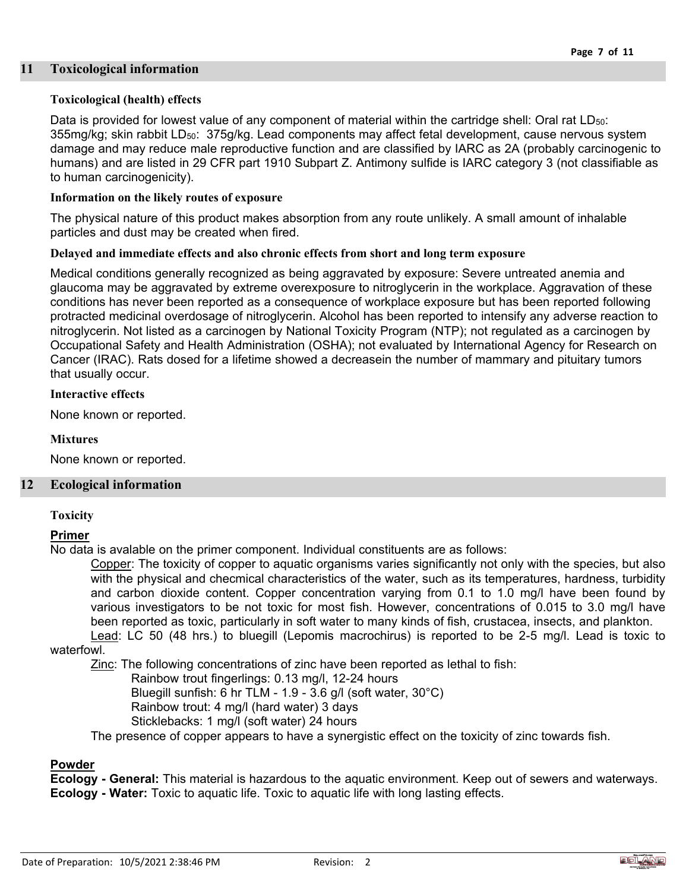# **11 Toxicological information**

# **Toxicological (health) effects**

Data is provided for lowest value of any component of material within the cartridge shell: Oral rat LD<sub>50</sub>: 355mg/kg; skin rabbit  $LD_{50}$ : 375g/kg. Lead components may affect fetal development, cause nervous system damage and may reduce male reproductive function and are classified by IARC as 2A (probably carcinogenic to humans) and are listed in 29 CFR part 1910 Subpart Z. Antimony sulfide is IARC category 3 (not classifiable as to human carcinogenicity).

# **Information on the likely routes of exposure**

The physical nature of this product makes absorption from any route unlikely. A small amount of inhalable particles and dust may be created when fired.

# **Delayed and immediate effects and also chronic effects from short and long term exposure**

Medical conditions generally recognized as being aggravated by exposure: Severe untreated anemia and glaucoma may be aggravated by extreme overexposure to nitroglycerin in the workplace. Aggravation of these conditions has never been reported as a consequence of workplace exposure but has been reported following protracted medicinal overdosage of nitroglycerin. Alcohol has been reported to intensify any adverse reaction to nitroglycerin. Not listed as a carcinogen by National Toxicity Program (NTP); not regulated as a carcinogen by Occupational Safety and Health Administration (OSHA); not evaluated by International Agency for Research on Cancer (IRAC). Rats dosed for a lifetime showed a decreasein the number of mammary and pituitary tumors that usually occur.

# **Interactive effects**

None known or reported.

### **Mixtures**

None known or reported.

# **12 Ecological information**

### **Toxicity**

# **Primer**

No data is avalable on the primer component. Individual constituents are as follows:

Copper: The toxicity of copper to aquatic organisms varies significantly not only with the species, but also with the physical and checmical characteristics of the water, such as its temperatures, hardness, turbidity and carbon dioxide content. Copper concentration varying from 0.1 to 1.0 mg/l have been found by various investigators to be not toxic for most fish. However, concentrations of 0.015 to 3.0 mg/l have been reported as toxic, particularly in soft water to many kinds of fish, crustacea, insects, and plankton. Lead: LC 50 (48 hrs.) to bluegill (Lepomis macrochirus) is reported to be 2-5 mg/l. Lead is toxic to

# waterfowl.

Zinc: The following concentrations of zinc have been reported as lethal to fish:

- Rainbow trout fingerlings: 0.13 mg/l, 12-24 hours
- Bluegill sunfish: 6 hr TLM 1.9 3.6 g/l (soft water, 30°C)
- Rainbow trout: 4 mg/l (hard water) 3 days
- Sticklebacks: 1 mg/l (soft water) 24 hours

The presence of copper appears to have a synergistic effect on the toxicity of zinc towards fish.

# **Powder**

**Ecology - General:** This material is hazardous to the aquatic environment. Keep out of sewers and waterways. **Ecology - Water:** Toxic to aquatic life. Toxic to aquatic life with long lasting effects.

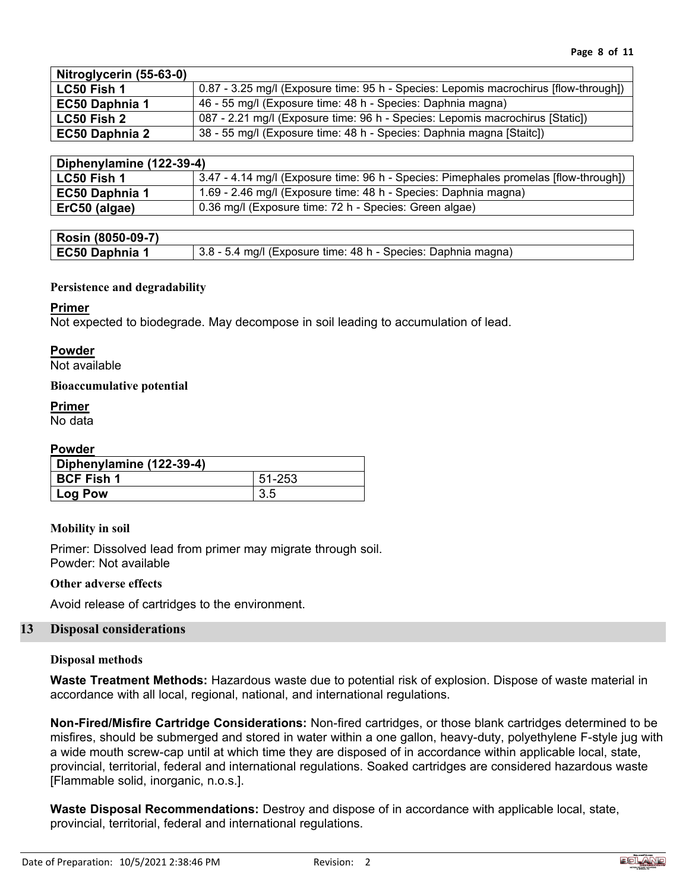| Nitroglycerin (55-63-0) |                                                                                      |
|-------------------------|--------------------------------------------------------------------------------------|
| LC50 Fish 1             | 0.87 - 3.25 mg/l (Exposure time: 95 h - Species: Lepomis macrochirus [flow-through]) |
| EC50 Daphnia 1          | 46 - 55 mg/l (Exposure time: 48 h - Species: Daphnia magna)                          |
| <b>LC50 Fish 2</b>      | 087 - 2.21 mg/l (Exposure time: 96 h - Species: Lepomis macrochirus [Static])        |
| <b>EC50 Daphnia 2</b>   | 38 - 55 mg/l (Exposure time: 48 h - Species: Daphnia magna [Staitc])                 |

| Diphenylamine (122-39-4) |                                                                                      |
|--------------------------|--------------------------------------------------------------------------------------|
| <b>LC50 Fish 1</b>       | 3.47 - 4.14 mg/l (Exposure time: 96 h - Species: Pimephales promelas [flow-through]) |
| <b>EC50 Daphnia 1</b>    | 1.69 - 2.46 mg/l (Exposure time: 48 h - Species: Daphnia magna)                      |
| ErC50 (algae)            | 0.36 mg/l (Exposure time: 72 h - Species: Green algae)                               |

| Rosin (8050-09-7) |                                                               |
|-------------------|---------------------------------------------------------------|
| EC50 Daphnia 1    | 3.8 - 5.4 mg/l (Exposure time: 48 h - Species: Daphnia magna) |

# **Persistence and degradability**

# **Primer**

Not expected to biodegrade. May decompose in soil leading to accumulation of lead.

# **Powder**

Not available

# **Bioaccumulative potential**

# **Primer**

No data

# **Powder**

| Diphenylamine (122-39-4) |        |
|--------------------------|--------|
| <b>BCF Fish 1</b>        | 51-253 |
| Log Pow                  | 3.5    |

# **Mobility in soil**

Primer: Dissolved lead from primer may migrate through soil. Powder: Not available

# **Other adverse effects**

Avoid release of cartridges to the environment.

# **13 Disposal considerations**

# **Disposal methods**

**Waste Treatment Methods:** Hazardous waste due to potential risk of explosion. Dispose of waste material in accordance with all local, regional, national, and international regulations.

**Non-Fired/Misfire Cartridge Considerations:** Non-fired cartridges, or those blank cartridges determined to be misfires, should be submerged and stored in water within a one gallon, heavy-duty, polyethylene F-style jug with a wide mouth screw-cap until at which time they are disposed of in accordance within applicable local, state, provincial, territorial, federal and international regulations. Soaked cartridges are considered hazardous waste [Flammable solid, inorganic, n.o.s.].

**Waste Disposal Recommendations:** Destroy and dispose of in accordance with applicable local, state, provincial, territorial, federal and international regulations.

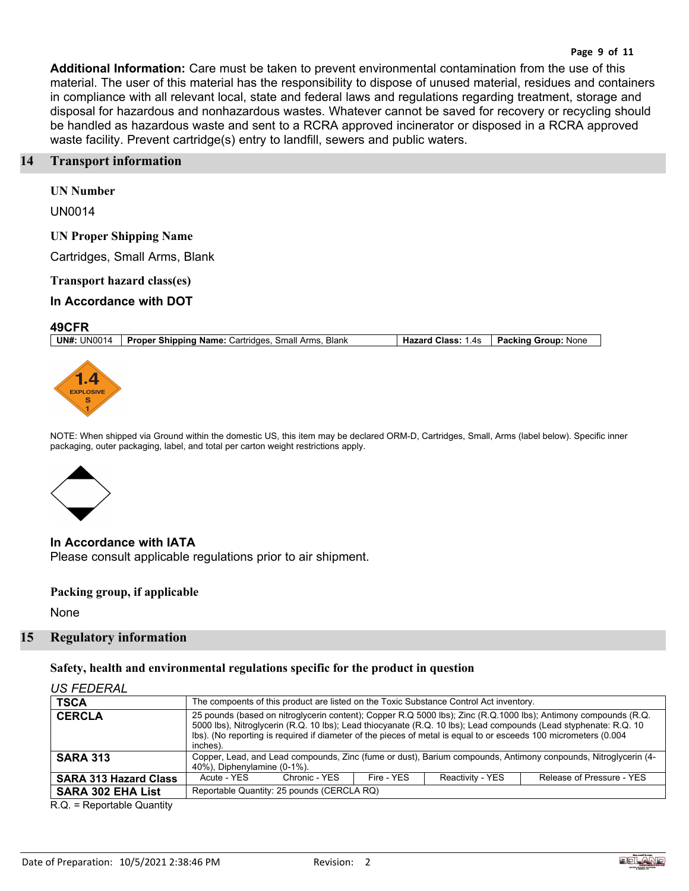### **Page 9 of 11**

**Additional Information:** Care must be taken to prevent environmental contamination from the use of this material. The user of this material has the responsibility to dispose of unused material, residues and containers in compliance with all relevant local, state and federal laws and regulations regarding treatment, storage and disposal for hazardous and nonhazardous wastes. Whatever cannot be saved for recovery or recycling should be handled as hazardous waste and sent to a RCRA approved incinerator or disposed in a RCRA approved waste facility. Prevent cartridge(s) entry to landfill, sewers and public waters.

# **14 Transport information**

**UN Number**

UN0014

### **UN Proper Shipping Name**

Cartridges, Small Arms, Blank

**Transport hazard class(es)**

# **In Accordance with DOT**

### **49CFR**

**UN#:** UN0014 **Proper Shipping Name:** Cartridges, Small Arms, Blank **Hazard Class:** 1.4s **Packing Group:** None



NOTE: When shipped via Ground within the domestic US, this item may be declared ORM-D, Cartridges, Small, Arms (label below). Specific inner packaging, outer packaging, label, and total per carton weight restrictions apply.



**In Accordance with IATA** Please consult applicable regulations prior to air shipment.

### **Packing group, if applicable**

None

# **15 Regulatory information**

**Safety, health and environmental regulations specific for the product in question**

# *US FEDERAL*

| <b>TSCA</b>                  |                                                                                                                                                                                                                                                                                                                                                                     | The compoents of this product are listed on the Toxic Substance Control Act inventory. |            |                  |                                                                                                                |
|------------------------------|---------------------------------------------------------------------------------------------------------------------------------------------------------------------------------------------------------------------------------------------------------------------------------------------------------------------------------------------------------------------|----------------------------------------------------------------------------------------|------------|------------------|----------------------------------------------------------------------------------------------------------------|
| <b>CERCLA</b>                | 25 pounds (based on nitroglycerin content); Copper R.Q 5000 lbs); Zinc (R.Q.1000 lbs); Antimony compounds (R.Q.<br>5000 lbs), Nitroglycerin (R.Q. 10 lbs); Lead thiocyanate (R.Q. 10 lbs); Lead compounds (Lead styphenate: R.Q. 10<br>lbs). (No reporting is required if diameter of the pieces of metal is equal to or esceeds 100 micrometers (0.004<br>inches). |                                                                                        |            |                  |                                                                                                                |
| <b>SARA 313</b>              | 40%), Diphenylamine (0-1%).                                                                                                                                                                                                                                                                                                                                         |                                                                                        |            |                  | Copper, Lead, and Lead compounds, Zinc (fume or dust), Barium compounds, Antimony conpounds, Nitroglycerin (4- |
| <b>SARA 313 Hazard Class</b> | Acute - YES                                                                                                                                                                                                                                                                                                                                                         | Chronic - YES                                                                          | Fire - YFS | Reactivity - YES | Release of Pressure - YES                                                                                      |
| <b>SARA 302 EHA List</b>     | Reportable Quantity: 25 pounds (CERCLA RQ)                                                                                                                                                                                                                                                                                                                          |                                                                                        |            |                  |                                                                                                                |

R.Q. = Reportable Quantity

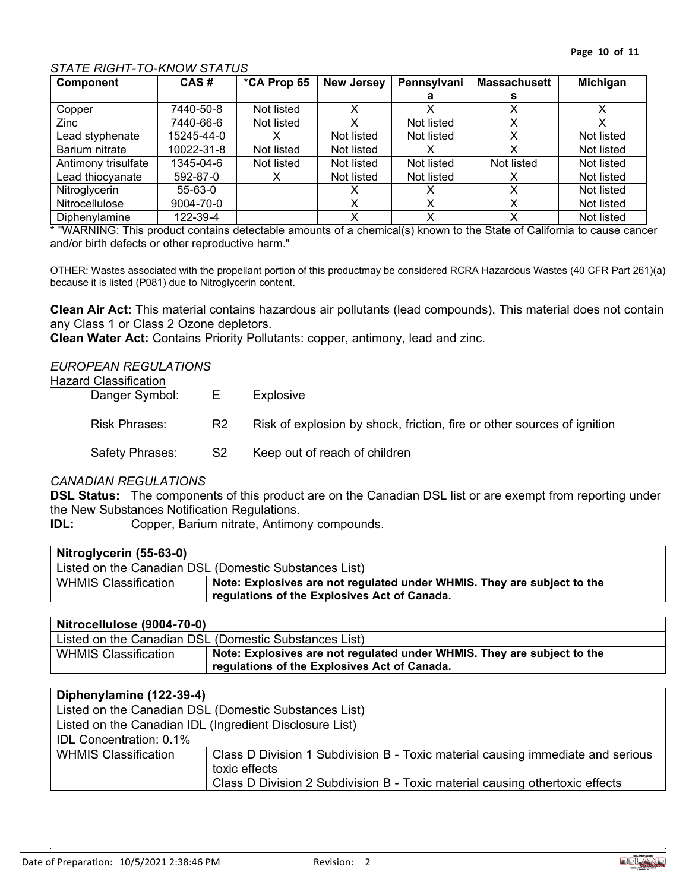# *STATE RIGHT-TO-KNOW STATUS*

| Component           | CAS#           | *CA Prop 65 | <b>New Jersey</b> | Pennsylvani | <b>Massachusett</b> | Michigan   |
|---------------------|----------------|-------------|-------------------|-------------|---------------------|------------|
|                     |                |             |                   |             |                     |            |
| Copper              | 7440-50-8      | Not listed  |                   |             |                     |            |
| Zinc                | 7440-66-6      | Not listed  | x                 | Not listed  |                     |            |
| Lead styphenate     | 15245-44-0     |             | Not listed        | Not listed  |                     | Not listed |
| Barium nitrate      | 10022-31-8     | Not listed  | Not listed        |             | x                   | Not listed |
| Antimony trisulfate | 1345-04-6      | Not listed  | Not listed        | Not listed  | Not listed          | Not listed |
| Lead thiocyanate    | $592 - 87 - 0$ |             | Not listed        | Not listed  |                     | Not listed |
| Nitroglycerin       | $55 - 63 - 0$  |             |                   |             |                     | Not listed |
| Nitrocellulose      | 9004-70-0      |             |                   |             |                     | Not listed |
| Diphenylamine       | 122-39-4       |             | v                 | v           | ✓                   | Not listed |

\* "WARNING: This product contains detectable amounts of a chemical(s) known to the State of California to cause cancer and/or birth defects or other reproductive harm."

OTHER: Wastes associated with the propellant portion of this productmay be considered RCRA Hazardous Wastes (40 CFR Part 261)(a) because it is listed (P081) due to Nitroglycerin content.

**Clean Air Act:** This material contains hazardous air pollutants (lead compounds). This material does not contain any Class 1 or Class 2 Ozone depletors.

**Clean Water Act:** Contains Priority Pollutants: copper, antimony, lead and zinc.

# *EUROPEAN REGULATIONS*

### Hazard Classification

| ו וטוואטיווויטעווי<br>Danger Symbol: | - E -          | Explosive                                                               |
|--------------------------------------|----------------|-------------------------------------------------------------------------|
| <b>Risk Phrases:</b>                 | R <sub>2</sub> | Risk of explosion by shock, friction, fire or other sources of ignition |
| Safety Phrases:                      | S2             | Keep out of reach of children                                           |

### *CANADIAN REGULATIONS*

**DSL Status:** The components of this product are on the Canadian DSL list or are exempt from reporting under the New Substances Notification Regulations.

**IDL:** Copper, Barium nitrate, Antimony compounds.

| Nitroglycerin (55-63-0)     |                                                                         |
|-----------------------------|-------------------------------------------------------------------------|
|                             | Listed on the Canadian DSL (Domestic Substances List)                   |
| <b>WHMIS Classification</b> | Note: Explosives are not regulated under WHMIS. They are subject to the |
|                             | regulations of the Explosives Act of Canada.                            |

| Nitrocellulose (9004-70-0)  |                                                                                                                         |
|-----------------------------|-------------------------------------------------------------------------------------------------------------------------|
|                             | Listed on the Canadian DSL (Domestic Substances List)                                                                   |
| <b>WHMIS Classification</b> | Note: Explosives are not regulated under WHMIS. They are subject to the<br>regulations of the Explosives Act of Canada. |

| Diphenylamine (122-39-4)       |                                                                                                  |
|--------------------------------|--------------------------------------------------------------------------------------------------|
|                                | Listed on the Canadian DSL (Domestic Substances List)                                            |
|                                | Listed on the Canadian IDL (Ingredient Disclosure List)                                          |
| <b>IDL Concentration: 0.1%</b> |                                                                                                  |
| <b>WHMIS Classification</b>    | Class D Division 1 Subdivision B - Toxic material causing immediate and serious<br>toxic effects |
|                                | Class D Division 2 Subdivision B - Toxic material causing othertoxic effects                     |